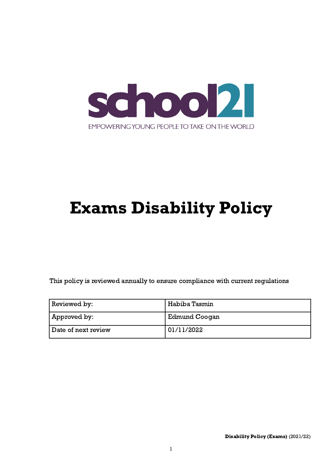

# Exams Disability Policy

This policy is reviewed annually to ensure compliance with current regulations

| Reviewed by:        | Habiba Tasmin |
|---------------------|---------------|
| Approved by:        | Edmund Coogan |
| Date of next review | ' 01/11/2022  |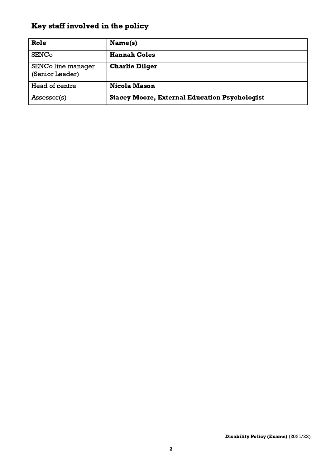## <span id="page-1-0"></span>Key staff involved in the policy

| Role                                  | Name(s)                                              |
|---------------------------------------|------------------------------------------------------|
| <b>SENCo</b>                          | <b>Hannah Coles</b>                                  |
| SENCo line manager<br>(Senior Leader) | <b>Charlie Dilger</b>                                |
| Head of centre                        | <b>Nicola Mason</b>                                  |
| Assessor(s)                           | <b>Stacey Moore, External Education Psychologist</b> |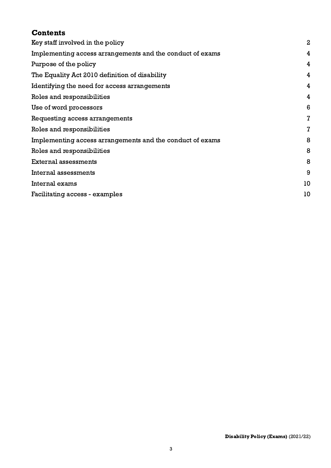| <b>Contents</b>                                           |                  |
|-----------------------------------------------------------|------------------|
| Key staff involved in the policy                          | $\boldsymbol{2}$ |
| Implementing access arrangements and the conduct of exams | 4                |
| Purpose of the policy                                     | 4                |
| The Equality Act 2010 definition of disability            | 4                |
| Identifying the need for access arrangements              | 4                |
| Roles and responsibilities                                | 4                |
| Use of word processors                                    | 6                |
| Requesting access arrangements                            | $\mathbf{Z}$     |
| Roles and responsibilities                                | $\overline{I}$   |
| Implementing access arrangements and the conduct of exams | 8                |
| Roles and responsibilities                                | 8                |
| External assessments                                      | 8                |
| Internal assessments                                      | 9                |
| Internal exams                                            | 10               |
| Facilitating access - examples                            | 10               |
|                                                           |                  |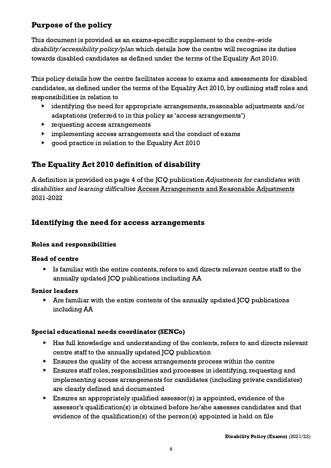## <span id="page-3-0"></span>Purpose of the policy

This document is provided as an exams-specific supplement to the centre-wide disability/accessibility policy/plan which details how the centre will recognise its duties towards disabled candidates as defined under the terms of the Equality Act 2010.

This policy details how the centre facilitates access to exams and assessments for disabled candidates, as defined under the terms of the Equality Act 2010, by outlining staff roles and responsibilities in relation to

- ▶ identifying the need for appropriate arrangements, reasonable adjustments and/or adaptations (referred to in this policy as 'access arrangements')
- ▶ requesting access arrangements
- ▶ implementing access arrangements and the conduct of exams
- ▶ good practice in relation to the Equality Act 2010

## <span id="page-3-1"></span>The Equality Act 2010 definition of disability

A definition is provided on page 4 of the JCQ publication Adjustments for candidates with disabilities and learning difficulties Access [Arrangements](http://www.jcq.org.uk/exams-office/access-arrangements-and-special-consideration/regulations-and-guidance) and Reasonable Adjustments 2021-2022

## <span id="page-3-2"></span>Identifying the need for access arrangements

## <span id="page-3-3"></span>Roles and responsibilities

## Head of centre

▶ Is familiar with the entire contents, refers to and directs relevant centre staff to the annually updated JCQ publications including AA

## Senior leaders

 $\triangleright$  Are familiar with the entire contents of the annually updated JCQ publications including AA

## Special educational needs coordinator (SENCo)

- ▶ Has full knowledge and understanding of the contents, refers to and directs relevant centre staff to the annually updated JCQ publication
- ▶ Ensures the quality of the access arrangements process within the centre
- ▶ Ensures staff roles, responsibilities and processes in identifying, requesting and implementing access arrangements for candidates (including private candidates) are clearly defined and documented
- $\triangleright$  Ensures an appropriately qualified assessor(s) is appointed, evidence of the assessor's qualification(s) is obtained before he/she assesses candidates and that evidence of the qualification(s) of the person(s) appointed is held on file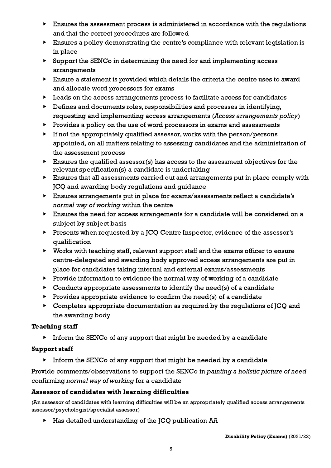- ▶ Ensures the assessment process is administered in accordance with the regulations and that the correct procedures are followed
- ▶ Ensures a policy demonstrating the centre's compliance with relevant legislation is in place
- ▶ Support the SENCo in determining the need for and implementing access arrangements
- ▶ Ensure a statement is provided which details the criteria the centre uses to award and allocate word processors for exams
- ▶ Leads on the access arrangements process to facilitate access for candidates
- ▶ Defines and documents roles, responsibilities and processes in identifying, requesting and implementing access arrangements (Access arrangements policy)
- Provides a policy on the use of word processors in exams and assessments
- If not the appropriately qualified assessor, works with the person/persons appointed, on all matters relating to assessing candidates and the administration of the assessment process
- $\blacktriangleright$  Ensures the qualified assessor(s) has access to the assessment objectives for the relevant specification(s) a candidate is undertaking
- ▶ Ensures that all assessments carried out and arrangements put in place comply with JCQ and awarding body regulations and guidance
- ▶ Ensures arrangements put in place for exams/assessments reflect a candidate's normal way of working within the centre
- ▶ Ensures the need for access arrangements for a candidate will be considered on a subject by subject basis
- ▶ Presents when requested by a JCQ Centre Inspector, evidence of the assessor's qualification
- ▶ Works with teaching staff, relevant support staff and the exams officer to ensure centre-delegated and awarding body approved access arrangements are put in place for candidates taking internal and external exams/assessments
- ▶ Provide information to evidence the normal way of working of a candidate
- $\triangleright$  Conducts appropriate assessments to identify the need(s) of a candidate
- $\triangleright$  Provides appropriate evidence to confirm the need(s) of a candidate
- ▶ Completes appropriate documentation as required by the regulations of JCQ and the awarding body

## Teaching staff

 $\triangleright$  Inform the SENCo of any support that might be needed by a candidate

## Support staff

▶ Inform the SENCo of any support that might be needed by a candidate

Provide comments/observations to support the SENCo in painting a holistic picture of need confirming normal way of working for a candidate

## Assessor of candidates with learning difficulties

(An assessor of candidates with learning difficulties will be an appropriately qualified access arrangements assessor/psychologist/specialist assessor)

▶ Has detailed understanding of the JCQ publication AA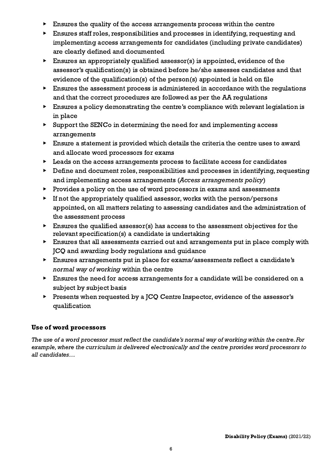- $\blacktriangleright$  Ensures the quality of the access arrangements process within the centre
- ▶ Ensures staff roles, responsibilities and processes in identifying, requesting and implementing access arrangements for candidates (including private candidates) are clearly defined and documented
- $\blacktriangleright$  Ensures an appropriately qualified assessor(s) is appointed, evidence of the assessor's qualification(s) is obtained before he/she assesses candidates and that evidence of the qualification(s) of the person(s) appointed is held on file
- Ensures the assessment process is administered in accordance with the regulations and that the correct procedures are followed as per the AA regulations
- ▶ Ensures a policy demonstrating the centre's compliance with relevant legislation is in place
- Support the SENCo in determining the need for and implementing access arrangements
- ▶ Ensure a statement is provided which details the criteria the centre uses to award and allocate word processors for exams
- Leads on the access arrangements process to facilitate access for candidates
- ▶ Define and document roles, responsibilities and processes in identifying, requesting and implementing access arrangements (Access arrangements policy)
- ▶ Provides a policy on the use of word processors in exams and assessments
- $\blacktriangleright$  If not the appropriately qualified assessor, works with the person/persons appointed, on all matters relating to assessing candidates and the administration of the assessment process
- $\triangleright$  Ensures the qualified assessor(s) has access to the assessment objectives for the relevant specification(s) a candidate is undertaking
- Ensures that all assessments carried out and arrangements put in place comply with JCQ and awarding body regulations and guidance
- ▶ Ensures arrangements put in place for exams/assessments reflect a candidate's normal way of working within the centre
- ▶ Ensures the need for access arrangements for a candidate will be considered on a subject by subject basis
- ▶ Presents when requested by a JCQ Centre Inspector, evidence of the assessor's qualification

## <span id="page-5-0"></span>Use of word processors

The use of a word processor must reflect the candidate's normal way of working within the centre. For example, where the curriculum is delivered electronically and the centre provides word processors to all candidates…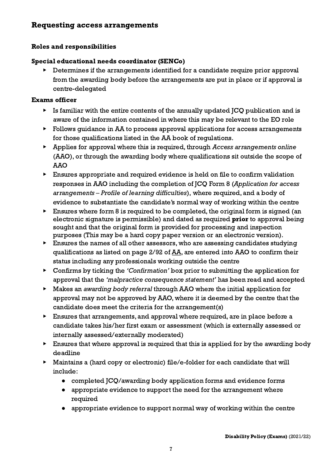## <span id="page-6-0"></span>Requesting access arrangements

#### <span id="page-6-1"></span>Roles and responsibilities

#### Special educational needs coordinator (SENCo)

Determines if the arrangements identified for a candidate require prior approval from the awarding body before the arrangements are put in place or if approval is centre-delegated

#### Exams officer

- $\triangleright$  Is familiar with the entire contents of the annually updated  $\mathsf{ICQ}$  publication and is aware of the information contained in where this may be relevant to the EO role
- ▶ Follows guidance in AA to process approval applications for access arrangements for those qualifications listed in the AA book of regulations.
- ▶ Applies for approval where this is required, through Access arrangements online (AAO), or through the awarding body where qualifications sit outside the scope of AAO
- ▶ Ensures appropriate and required evidence is held on file to confirm validation responses in AAO including the completion of JCQ Form 8 (Application for access arrangements – Profile of learning difficulties), where required, and a body of evidence to substantiate the candidate's normal way of working within the centre
- Ensures where form 8 is required to be completed, the original form is signed (an electronic signature is permissible) and dated as required prior to approval being sought and that the original form is provided for processing and inspection purposes (This may be a hard copy paper version or an electronic version).
- $\blacktriangleright$  Ensures the names of all other assessors, who are assessing candidates studying qualifications as listed on page 2/92 of [AA](http://www.jcq.org.uk/exams-office/access-arrangements-and-special-consideration), are entered into AAO to confirm their status including any professionals working outside the centre
- ▶ Confirms by ticking the 'Confirmation' box prior to submitting the application for approval that the 'malpractice consequence statement' has been read and accepted
- ▶ Makes an awarding body referral through AAO where the initial application for approval may not be approved by AAO, where it is deemed by the centre that the candidate does meet the criteria for the arrangement(s)
- ▶ Ensures that arrangements, and approval where required, are in place before a candidate takes his/her first exam or assessment (which is externally assessed or internally assessed/externally moderated)
- Ensures that where approval is required that this is applied for by the awarding body deadline
- Maintains a (hard copy or electronic) file/e-folder for each candidate that will include:
	- **●** completed JCQ/awarding body application forms and evidence forms
	- **●** appropriate evidence to support the need for the arrangement where required
	- **●** appropriate evidence to support normal way of working within the centre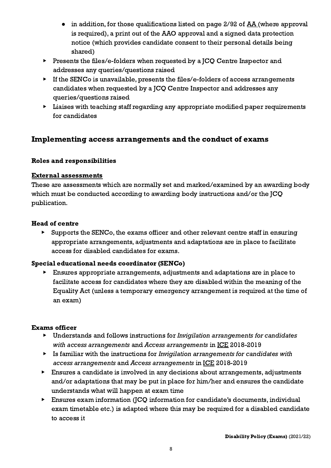- in addition, for those qualifications listed on page 2/92 of <u>[AA](http://www.jcq.org.uk/exams-office/access-arrangements-and-special-consideration)</u> (where approval is required), a print out of the AAO approval and a signed data protection notice (which provides candidate consent to their personal details being shared)
- ▶ Presents the files/e-folders when requested by a JCQ Centre Inspector and addresses any queries/questions raised
- ▶ If the SENCo is unavailable, presents the files/e-folders of access arrangements candidates when requested by a JCQ Centre Inspector and addresses any queries/questions raised
- Liaises with teaching staff regarding any appropriate modified paper requirements for candidates

## <span id="page-7-0"></span>Implementing access arrangements and the conduct of exams

## <span id="page-7-1"></span>Roles and responsibilities

#### <span id="page-7-2"></span>External assessments

These are assessments which are normally set and marked/examined by an awarding body which must be conducted according to awarding body instructions and/or the JCQ publication.

#### Head of centre

▶ Supports the SENCo, the exams officer and other relevant centre staff in ensuring appropriate arrangements, adjustments and adaptations are in place to facilitate access for disabled candidates for exams.

## Special educational needs coordinator (SENCo)

▶ Ensures appropriate arrangements, adjustments and adaptations are in place to facilitate access for candidates where they are disabled within the meaning of the Equality Act (unless a temporary emergency arrangement is required at the time of an exam)

## Exams officer

- ▶ Understands and follows instructions for Invigilation arrangements for candidates with access arrangements and Access arrangements in [ICE](http://www.jcq.org.uk/exams-office/ice---instructions-for-conducting-examinations) 2018-2019
- ▶ Is familiar with the instructions for Invigilation arrangements for candidates with access arrangements and Access arrangements in [ICE](http://www.jcq.org.uk/exams-office/ice---instructions-for-conducting-examinations) 2018-2019
- ▶ Ensures a candidate is involved in any decisions about arrangements, adjustments and/or adaptations that may be put in place for him/her and ensures the candidate understands what will happen at exam time
- ▶ Ensures exam information (JCQ information for candidate's documents, individual exam timetable etc.) is adapted where this may be required for a disabled candidate to access it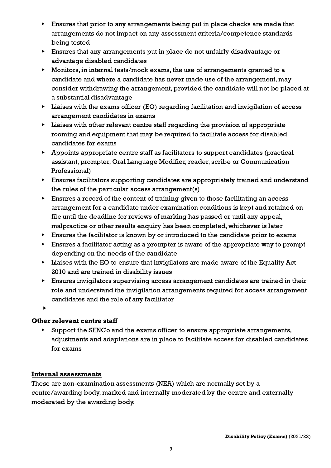- ▶ Ensures that prior to any arrangements being put in place checks are made that arrangements do not impact on any assessment criteria/competence standards being tested
- ▶ Ensures that any arrangements put in place do not unfairly disadvantage or advantage disabled candidates
- ▶ Monitors, in internal tests/mock exams, the use of arrangements granted to a candidate and where a candidate has never made use of the arrangement, may consider withdrawing the arrangement, provided the candidate will not be placed at a substantial disadvantage
- ▶ Liaises with the exams officer (EO) regarding facilitation and invigilation of access arrangement candidates in exams
- $\blacktriangleright$  Liaises with other relevant centre staff regarding the provision of appropriate rooming and equipment that may be required to facilitate access for disabled candidates for exams
- ▶ Appoints appropriate centre staff as facilitators to support candidates (practical assistant, prompter, Oral Language Modifier, reader, scribe or Communication Professional)
- ▶ Ensures facilitators supporting candidates are appropriately trained and understand the rules of the particular access arrangement(s)
- ▶ Ensures a record of the content of training given to those facilitating an access arrangement for a candidate under examination conditions is kept and retained on file until the deadline for reviews of marking has passed or until any appeal, malpractice or other results enquiry has been completed, whichever is later
- ▶ Ensures the facilitator is known by or introduced to the candidate prior to exams
- ▶ Ensures a facilitator acting as a prompter is aware of the appropriate way to prompt depending on the needs of the candidate
- ▶ Liaises with the EO to ensure that invigilators are made aware of the Equality Act 2010 and are trained in disability issues
- ▶ Ensures invigilators supervising access arrangement candidates are trained in their role and understand the invigilation arrangements required for access arrangement candidates and the role of any facilitator

▶

## Other relevant centre staff

Support the SENCo and the exams officer to ensure appropriate arrangements, adjustments and adaptations are in place to facilitate access for disabled candidates for exams

## <span id="page-8-0"></span>Internal assessments

These are non-examination assessments (NEA) which are normally set by a centre/awarding body, marked and internally moderated by the centre and externally moderated by the awarding body.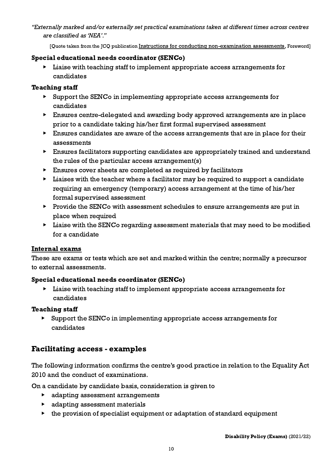"Externally marked and/or externally set practical examinations taken at different times across centres are classified as 'NEA'."

[Quote taken from the JCQ publication Instructions for conducting [non-examination](http://www.jcq.org.uk/exams-office/non-examination-assessments) assessments, Foreword]

#### Special educational needs coordinator (SENCo)

Liaise with teaching staff to implement appropriate access arrangements for candidates

#### Teaching staff

- ▶ Support the SENCo in implementing appropriate access arrangements for candidates
- ▶ Ensures centre-delegated and awarding body approved arrangements are in place prior to a candidate taking his/her first formal supervised assessment
- $\blacktriangleright$  Ensures candidates are aware of the access arrangements that are in place for their assessments
- ▶ Ensures facilitators supporting candidates are appropriately trained and understand the rules of the particular access arrangement(s)
- Ensures cover sheets are completed as required by facilitators
- ▶ Liaises with the teacher where a facilitator may be required to support a candidate requiring an emergency (temporary) access arrangement at the time of his/her formal supervised assessment
- ▶ Provide the SENCo with assessment schedules to ensure arrangements are put in place when required
- ▶ Liaise with the SENCo regarding assessment materials that may need to be modified for a candidate

## <span id="page-9-0"></span>Internal exams

These are exams or tests which are set and marked within the centre; normally a precursor to external assessments.

## Special educational needs coordinator (SENCo)

▶ Liaise with teaching staff to implement appropriate access arrangements for candidates

## Teaching staff

Support the SENCo in implementing appropriate access arrangements for candidates

## <span id="page-9-1"></span>Facilitating access - examples

The following information confirms the centre's good practice in relation to the Equality Act 2010 and the conduct of examinations.

On a candidate by candidate basis, consideration is given to

- ▶ adapting assessment arrangements
- ▶ adapting assessment materials
- ▶ the provision of specialist equipment or adaptation of standard equipment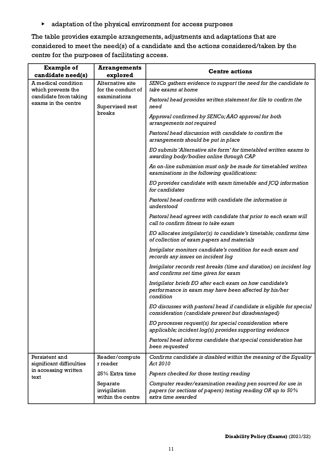▶ adaptation of the physical environment for access purposes

The table provides example arrangements, adjustments and adaptations that are considered to meet the need(s) of a candidate and the actions considered/taken by the centre for the purposes of facilitating access.

| <b>Example of</b><br>candidate need(s)                                                                                                                                                  | <b>Arrangements</b><br>explored                                                                                                | <b>Centre actions</b>                                                                                                                           |
|-----------------------------------------------------------------------------------------------------------------------------------------------------------------------------------------|--------------------------------------------------------------------------------------------------------------------------------|-------------------------------------------------------------------------------------------------------------------------------------------------|
| A medical condition<br><b>Alternative site</b><br>which prevents the<br>for the conduct of<br>examinations<br>candidate from taking<br>exams in the centre<br>Supervised rest<br>breaks | SENCo gathers evidence to support the need for the candidate to<br>take exams at home                                          |                                                                                                                                                 |
|                                                                                                                                                                                         | Pastoral head provides written statement for file to confirm the<br>need                                                       |                                                                                                                                                 |
|                                                                                                                                                                                         | Approval confirmed by SENCo; AAO approval for both<br>arrangements not required                                                |                                                                                                                                                 |
|                                                                                                                                                                                         | Pastoral head discussion with candidate to confirm the<br>arrangements should be put in place                                  |                                                                                                                                                 |
|                                                                                                                                                                                         | EO submits 'Alternative site form' for timetabled written exams to<br>awarding body/bodies online through CAP                  |                                                                                                                                                 |
|                                                                                                                                                                                         | An on-line submission must only be made for timetabled written<br>examinations in the following qualifications:                |                                                                                                                                                 |
|                                                                                                                                                                                         | EO provides candidate with exam timetable and JCQ information<br>for candidates                                                |                                                                                                                                                 |
|                                                                                                                                                                                         | Pastoral head confirms with candidate the information is<br>understood                                                         |                                                                                                                                                 |
|                                                                                                                                                                                         |                                                                                                                                | Pastoral head agrees with candidate that prior to each exam will<br>call to confirm fitness to take exam                                        |
|                                                                                                                                                                                         |                                                                                                                                | EO allocates invigilator(s) to candidate's timetable; confirms time<br>of collection of exam papers and materials                               |
|                                                                                                                                                                                         | Invigilator monitors candidate's condition for each exam and<br>records any issues on incident log                             |                                                                                                                                                 |
|                                                                                                                                                                                         | Invigilator records rest breaks (time and duration) on incident log<br>and confirms set time given for exam                    |                                                                                                                                                 |
|                                                                                                                                                                                         | Invigilator briefs EO after each exam on how candidate's<br>performance in exam may have been affected by his/her<br>condition |                                                                                                                                                 |
|                                                                                                                                                                                         | EO discusses with pastoral head if candidate is eligible for special<br>consideration (candidate present but disadvantaged)    |                                                                                                                                                 |
|                                                                                                                                                                                         | EO processes request(s) for special consideration where<br>applicable; incident log(s) provides supporting evidence            |                                                                                                                                                 |
|                                                                                                                                                                                         | Pastoral head informs candidate that special consideration has<br>been requested                                               |                                                                                                                                                 |
| Persistent and<br>significant difficulties<br>in accessing written<br>text                                                                                                              | Reader/compute<br>r reader                                                                                                     | Confirms candidate is disabled within the meaning of the Equality<br>Act 2010                                                                   |
|                                                                                                                                                                                         | 25% Extra time                                                                                                                 | Papers checked for those testing reading                                                                                                        |
|                                                                                                                                                                                         | Separate<br>invigilation<br>within the centre                                                                                  | Computer reader/examination reading pen sourced for use in<br>papers (or sections of papers) testing reading OR up to 50%<br>extra time awarded |